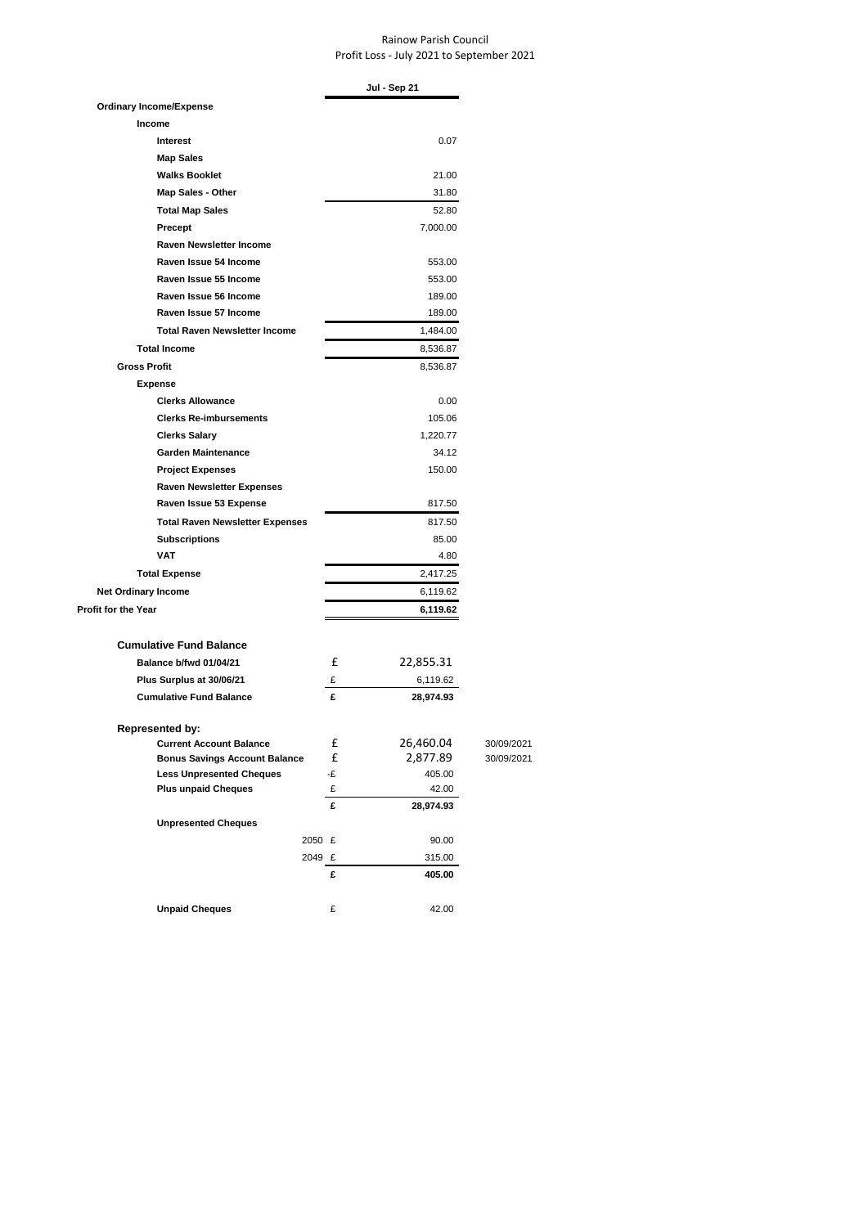## Rainow Parish Council Profit Loss - July 2021 to September 2021

|                                        |        |        | Jul - Sep 21 |            |  |  |  |
|----------------------------------------|--------|--------|--------------|------------|--|--|--|
| <b>Ordinary Income/Expense</b>         |        |        |              |            |  |  |  |
| Income                                 |        |        |              |            |  |  |  |
| Interest                               |        |        | 0.07         |            |  |  |  |
| <b>Map Sales</b>                       |        |        |              |            |  |  |  |
| <b>Walks Booklet</b>                   |        |        | 21.00        |            |  |  |  |
| Map Sales - Other                      |        |        | 31.80        |            |  |  |  |
| <b>Total Map Sales</b>                 |        |        | 52.80        |            |  |  |  |
| Precept                                |        |        | 7,000.00     |            |  |  |  |
| <b>Raven Newsletter Income</b>         |        |        |              |            |  |  |  |
| Raven Issue 54 Income                  |        |        | 553.00       |            |  |  |  |
| Raven Issue 55 Income                  |        |        | 553.00       |            |  |  |  |
| Raven Issue 56 Income                  |        |        | 189.00       |            |  |  |  |
| Raven Issue 57 Income                  |        |        | 189.00       |            |  |  |  |
| <b>Total Raven Newsletter Income</b>   |        |        | 1,484.00     |            |  |  |  |
| <b>Total Income</b>                    |        |        | 8,536.87     |            |  |  |  |
| <b>Gross Profit</b>                    |        |        | 8,536.87     |            |  |  |  |
| <b>Expense</b>                         |        |        |              |            |  |  |  |
| <b>Clerks Allowance</b>                |        |        | 0.00         |            |  |  |  |
| <b>Clerks Re-imbursements</b>          |        |        | 105.06       |            |  |  |  |
| <b>Clerks Salary</b>                   |        |        | 1,220.77     |            |  |  |  |
| <b>Garden Maintenance</b>              |        | 34.12  |              |            |  |  |  |
| <b>Project Expenses</b>                |        | 150.00 |              |            |  |  |  |
| <b>Raven Newsletter Expenses</b>       |        |        |              |            |  |  |  |
| Raven Issue 53 Expense                 |        |        | 817.50       |            |  |  |  |
| <b>Total Raven Newsletter Expenses</b> |        |        | 817.50       |            |  |  |  |
| <b>Subscriptions</b>                   |        |        | 85.00        |            |  |  |  |
| <b>VAT</b>                             |        |        | 4.80         |            |  |  |  |
| <b>Total Expense</b>                   |        |        | 2,417.25     |            |  |  |  |
| <b>Net Ordinary Income</b>             |        |        | 6,119.62     |            |  |  |  |
| <b>Profit for the Year</b>             |        |        | 6,119.62     |            |  |  |  |
|                                        |        |        |              |            |  |  |  |
| <b>Cumulative Fund Balance</b>         |        |        |              |            |  |  |  |
| Balance b/fwd 01/04/21                 |        | £      | 22,855.31    |            |  |  |  |
| Plus Surplus at 30/06/21               |        | £      | 6,119.62     |            |  |  |  |
| <b>Cumulative Fund Balance</b>         |        | £      | 28,974.93    |            |  |  |  |
|                                        |        |        |              |            |  |  |  |
| <b>Represented by:</b>                 |        |        |              |            |  |  |  |
| <b>Current Account Balance</b>         |        | £      | 26,460.04    | 30/09/2021 |  |  |  |
| <b>Bonus Savings Account Balance</b>   |        | £      | 2,877.89     | 30/09/2021 |  |  |  |
| <b>Less Unpresented Cheques</b>        |        | -£     | 405.00       |            |  |  |  |
| <b>Plus unpaid Cheques</b>             |        | £      | 42.00        |            |  |  |  |
|                                        |        | £      | 28,974.93    |            |  |  |  |
| <b>Unpresented Cheques</b>             |        |        |              |            |  |  |  |
|                                        | 2050 £ |        | 90.00        |            |  |  |  |
|                                        | 2049 £ |        | 315.00       |            |  |  |  |
|                                        |        | £      | 405.00       |            |  |  |  |
|                                        |        |        |              |            |  |  |  |
| <b>Unpaid Cheques</b>                  |        | £      | 42.00        |            |  |  |  |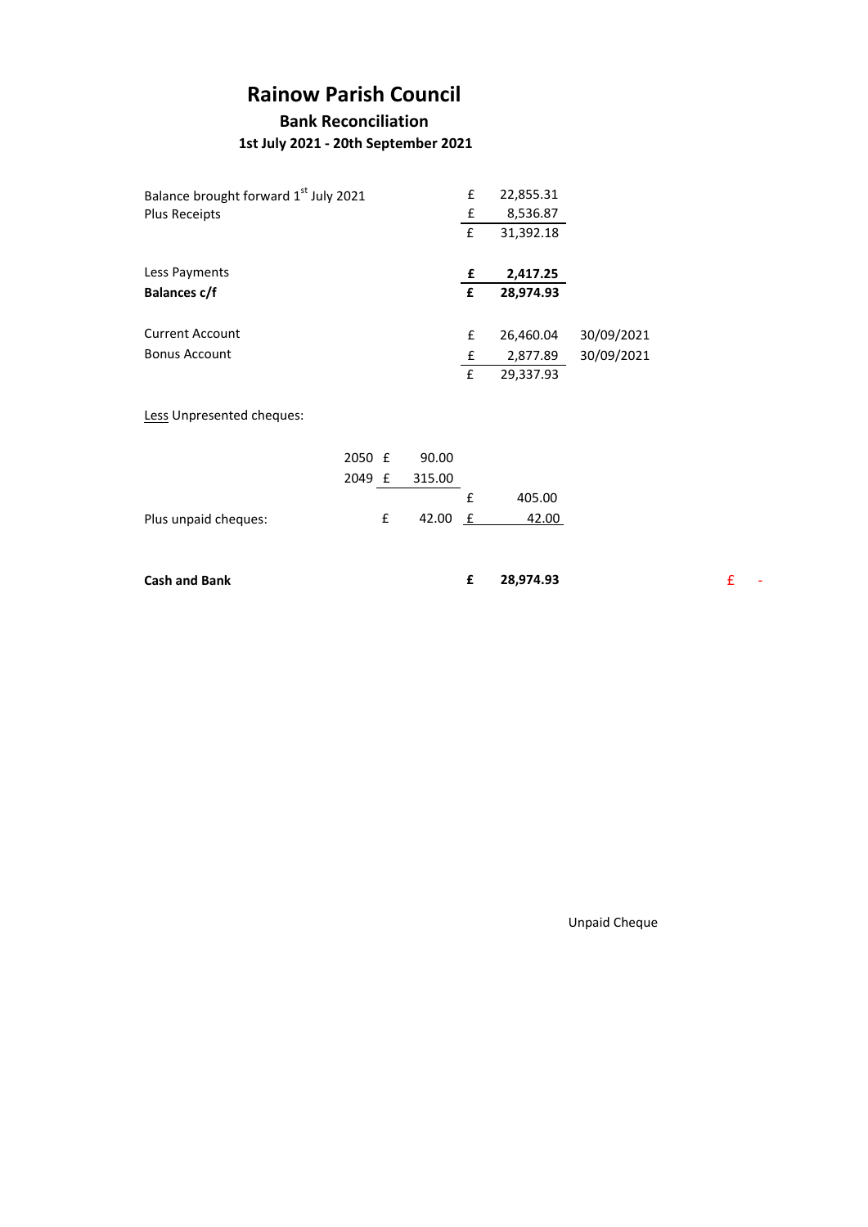## **Rainow Parish Council**

## **Bank Reconciliation 1st July 2021 - 20th September 2021**

| Balance brought forward 1 <sup>st</sup> July 2021 | £ | 22,855.31 |            |
|---------------------------------------------------|---|-----------|------------|
| <b>Plus Receipts</b>                              | £ | 8,536.87  |            |
|                                                   | £ | 31,392.18 |            |
| Less Payments                                     | £ | 2,417.25  |            |
| <b>Balances c/f</b>                               | £ | 28,974.93 |            |
| <b>Current Account</b>                            | £ | 26,460.04 | 30/09/2021 |
| <b>Bonus Account</b>                              | £ | 2,877.89  | 30/09/2021 |
|                                                   | £ | 29,337.93 |            |
| Less Unpresented cheques:                         |   |           |            |

| Plus unpaid cheques: | £                | 42.00  | £ | 42.00  |  |  |
|----------------------|------------------|--------|---|--------|--|--|
|                      |                  |        |   |        |  |  |
|                      |                  |        | £ | 405.00 |  |  |
|                      | 2049 £           | 315.00 |   |        |  |  |
|                      | $2050 \text{ f}$ | 90.00  |   |        |  |  |

Unpaid Cheque